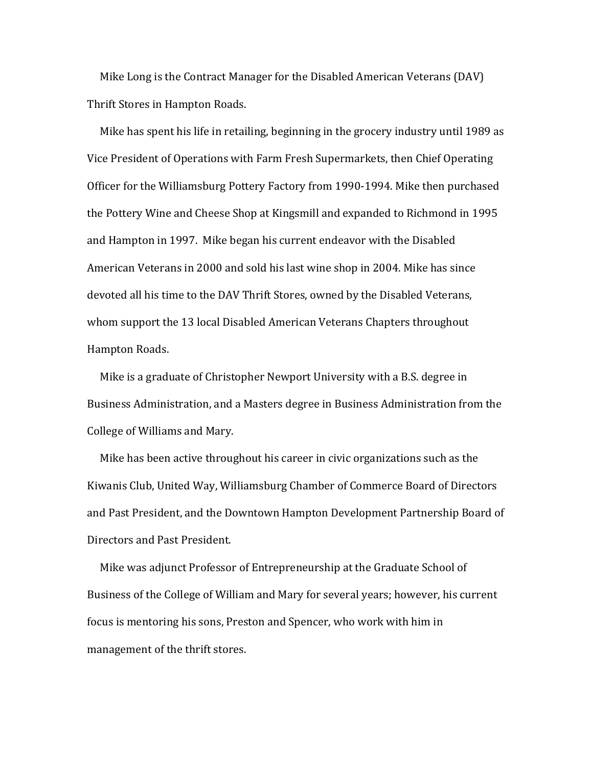Mike Long is the Contract Manager for the Disabled American Veterans (DAV) Thrift Stores in Hampton Roads.

Mike has spent his life in retailing, beginning in the grocery industry until 1989 as Vice President of Operations with Farm Fresh Supermarkets, then Chief Operating Officer for the Williamsburg Pottery Factory from 1990-1994. Mike then purchased the Pottery Wine and Cheese Shop at Kingsmill and expanded to Richmond in 1995 and Hampton in 1997. Mike began his current endeavor with the Disabled American Veterans in 2000 and sold his last wine shop in 2004. Mike has since devoted all his time to the DAV Thrift Stores, owned by the Disabled Veterans, whom support the 13 local Disabled American Veterans Chapters throughout Hampton Roads.

Mike is a graduate of Christopher Newport University with a B.S. degree in Business Administration, and a Masters degree in Business Administration from the College of Williams and Mary.

Mike has been active throughout his career in civic organizations such as the Kiwanis Club, United Way, Williamsburg Chamber of Commerce Board of Directors and Past President, and the Downtown Hampton Development Partnership Board of Directors and Past President.

Mike was adjunct Professor of Entrepreneurship at the Graduate School of Business of the College of William and Mary for several years; however, his current focus is mentoring his sons, Preston and Spencer, who work with him in management of the thrift stores.